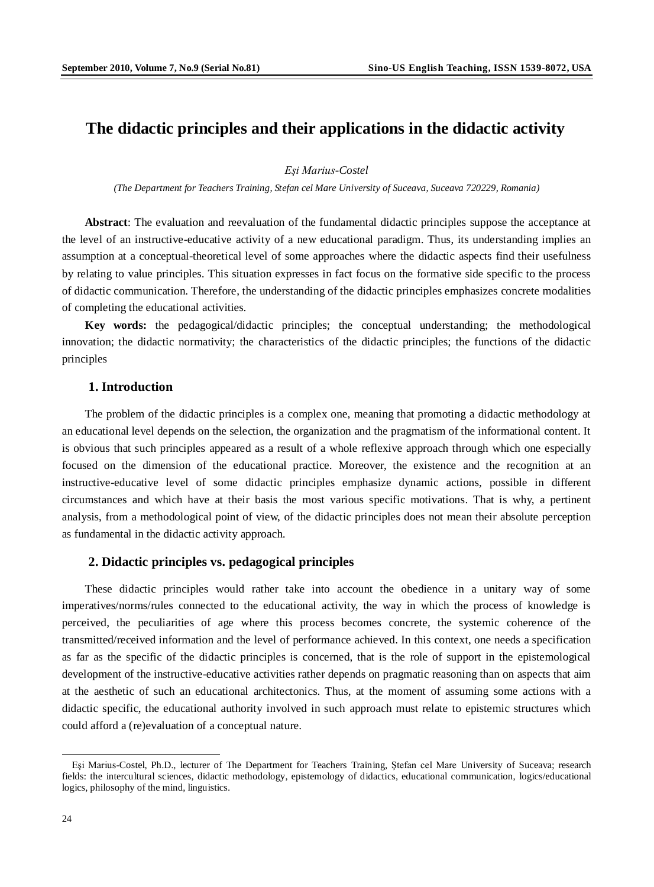# **The didactic principles and their applications in the didactic activity**

*Eşi Marius-Costel*

*(The Department for Teachers Training, Stefan cel Mare University of Suceava, Suceava 720229, Romania)*

**Abstract**: The evaluation and reevaluation of the fundamental didactic principles suppose the acceptance at the level of an instructive-educative activity of a new educational paradigm. Thus, its understanding implies an assumption at a conceptual-theoretical level of some approaches where the didactic aspects find their usefulness by relating to value principles. This situation expresses in fact focus on the formative side specific to the process of didactic communication. Therefore, the understanding of the didactic principles emphasizes concrete modalities of completing the educational activities.

**Key words:** the pedagogical/didactic principles; the conceptual understanding; the methodological innovation; the didactic normativity; the characteristics of the didactic principles; the functions of the didactic principles

## **1. Introduction**

The problem of the didactic principles is a complex one, meaning that promoting a didactic methodology at an educational level depends on the selection, the organization and the pragmatism of the informational content. It is obvious that such principles appeared as a result of a whole reflexive approach through which one especially focused on the dimension of the educational practice. Moreover, the existence and the recognition at an instructive-educative level of some didactic principles emphasize dynamic actions, possible in different circumstances and which have at their basis the most various specific motivations. That is why, a pertinent analysis, from a methodological point of view, of the didactic principles does not mean their absolute perception as fundamental in the didactic activity approach.

### **2. Didactic principles vs. pedagogical principles**

These didactic principles would rather take into account the obedience in a unitary way of some imperatives/norms/rules connected to the educational activity, the way in which the process of knowledge is perceived, the peculiarities of age where this process becomes concrete, the systemic coherence of the transmitted/received information and the level of performance achieved. In this context, one needs a specification as far as the specific of the didactic principles is concerned, that is the role of support in the epistemological development of the instructive-educative activities rather depends on pragmatic reasoning than on aspects that aim at the aesthetic of such an educational architectonics. Thus, at the moment of assuming some actions with a didactic specific, the educational authority involved in such approach must relate to epistemic structures which could afford a (re)evaluation of a conceptual nature.

 $\overline{a}$ 

<span id="page-0-0"></span>Eşi Marius-Costel, Ph.D., lecturer of The Department for Teachers Training, Ştefan cel Mare University of Suceava; research fields: the intercultural sciences, didactic methodology, epistemology of didactics, educational communication, logics/educational logics, philosophy of the mind, linguistics.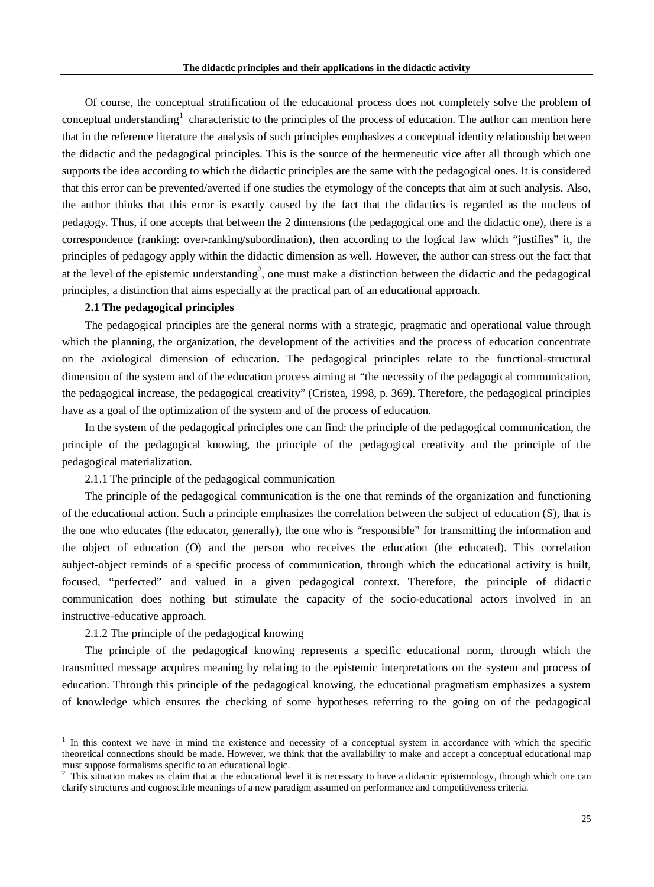Of course, the conceptual stratification of the educational process does not completely solve the problem of conceptual understanding<sup>[1](#page-1-0)</sup> characteristic to the principles of the process of education. The author can mention here that in the reference literature the analysis of such principles emphasizes a conceptual identity relationship between the didactic and the pedagogical principles. This is the source of the hermeneutic vice after all through which one supports the idea according to which the didactic principles are the same with the pedagogical ones. It is considered that this error can be prevented/averted if one studies the etymology of the concepts that aim at such analysis. Also, the author thinks that this error is exactly caused by the fact that the didactics is regarded as the nucleus of pedagogy. Thus, if one accepts that between the 2 dimensions (the pedagogical one and the didactic one), there is a correspondence (ranking: over-ranking/subordination), then according to the logical law which "justifies" it, the principles of pedagogy apply within the didactic dimension as well. However, the author can stress out the fact that at the level of the epistemic understanding<sup>[2](#page-1-1)</sup>, one must make a distinction between the didactic and the pedagogical principles, a distinction that aims especially at the practical part of an educational approach.

#### **2.1 The pedagogical principles**

The pedagogical principles are the general norms with a strategic, pragmatic and operational value through which the planning, the organization, the development of the activities and the process of education concentrate on the axiological dimension of education. The pedagogical principles relate to the functional-structural dimension of the system and of the education process aiming at "the necessity of the pedagogical communication, the pedagogical increase, the pedagogical creativity" (Cristea, 1998, p. 369). Therefore, the pedagogical principles have as a goal of the optimization of the system and of the process of education.

In the system of the pedagogical principles one can find: the principle of the pedagogical communication, the principle of the pedagogical knowing, the principle of the pedagogical creativity and the principle of the pedagogical materialization.

2.1.1 The principle of the pedagogical communication

The principle of the pedagogical communication is the one that reminds of the organization and functioning of the educational action. Such a principle emphasizes the correlation between the subject of education (S), that is the one who educates (the educator, generally), the one who is "responsible" for transmitting the information and the object of education (O) and the person who receives the education (the educated). This correlation subject-object reminds of a specific process of communication, through which the educational activity is built, focused, "perfected" and valued in a given pedagogical context. Therefore, the principle of didactic communication does nothing but stimulate the capacity of the socio-educational actors involved in an instructive-educative approach.

## 2.1.2 The principle of the pedagogical knowing

The principle of the pedagogical knowing represents a specific educational norm, through which the transmitted message acquires meaning by relating to the epistemic interpretations on the system and process of education. Through this principle of the pedagogical knowing, the educational pragmatism emphasizes a system of knowledge which ensures the checking of some hypotheses referring to the going on of the pedagogical

<span id="page-1-0"></span> <sup>1</sup> In this context we have in mind the existence and necessity of a conceptual system in accordance with which the specific theoretical connections should be made. However, we think that the availability to make and accept a conceptual educational map must suppose formalisms specific to an educational logic.

<span id="page-1-1"></span><sup>2</sup> This situation makes us claim that at the educational level it is necessary to have a didactic epistemology*,* through which one can clarify structures and cognoscible meanings of a new paradigm assumed on performance and competitiveness criteria.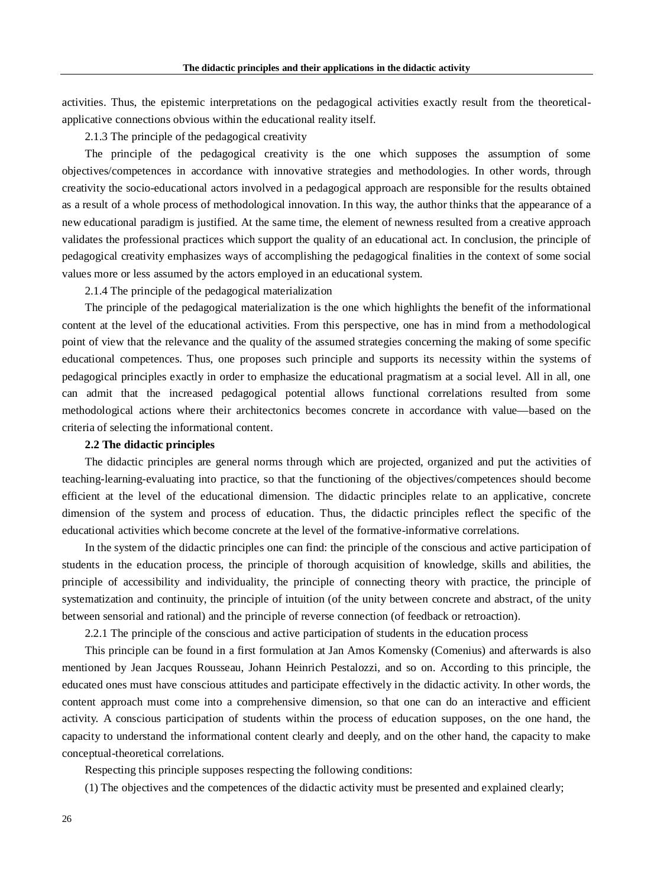activities. Thus, the epistemic interpretations on the pedagogical activities exactly result from the theoreticalapplicative connections obvious within the educational reality itself.

2.1.3 The principle of the pedagogical creativity

The principle of the pedagogical creativity is the one which supposes the assumption of some objectives/competences in accordance with innovative strategies and methodologies. In other words, through creativity the socio-educational actors involved in a pedagogical approach are responsible for the results obtained as a result of a whole process of methodological innovation. In this way, the author thinks that the appearance of a new educational paradigm is justified. At the same time, the element of newness resulted from a creative approach validates the professional practices which support the quality of an educational act. In conclusion, the principle of pedagogical creativity emphasizes ways of accomplishing the pedagogical finalities in the context of some social values more or less assumed by the actors employed in an educational system.

2.1.4 The principle of the pedagogical materialization

The principle of the pedagogical materialization is the one which highlights the benefit of the informational content at the level of the educational activities. From this perspective, one has in mind from a methodological point of view that the relevance and the quality of the assumed strategies concerning the making of some specific educational competences. Thus, one proposes such principle and supports its necessity within the systems of pedagogical principles exactly in order to emphasize the educational pragmatism at a social level. All in all, one can admit that the increased pedagogical potential allows functional correlations resulted from some methodological actions where their architectonics becomes concrete in accordance with value—based on the criteria of selecting the informational content.

#### **2.2 The didactic principles**

The didactic principles are general norms through which are projected, organized and put the activities of teaching-learning-evaluating into practice, so that the functioning of the objectives/competences should become efficient at the level of the educational dimension. The didactic principles relate to an applicative, concrete dimension of the system and process of education. Thus, the didactic principles reflect the specific of the educational activities which become concrete at the level of the formative-informative correlations.

In the system of the didactic principles one can find: the principle of the conscious and active participation of students in the education process, the principle of thorough acquisition of knowledge, skills and abilities, the principle of accessibility and individuality, the principle of connecting theory with practice, the principle of systematization and continuity, the principle of intuition (of the unity between concrete and abstract, of the unity between sensorial and rational) and the principle of reverse connection (of feedback or retroaction).

2.2.1 The principle of the conscious and active participation of students in the education process

This principle can be found in a first formulation at Jan Amos Komensky (Comenius) and afterwards is also mentioned by Jean Jacques Rousseau, Johann Heinrich Pestalozzi, and so on. According to this principle, the educated ones must have conscious attitudes and participate effectively in the didactic activity. In other words, the content approach must come into a comprehensive dimension, so that one can do an interactive and efficient activity. A conscious participation of students within the process of education supposes, on the one hand, the capacity to understand the informational content clearly and deeply, and on the other hand, the capacity to make conceptual-theoretical correlations.

Respecting this principle supposes respecting the following conditions:

(1) The objectives and the competences of the didactic activity must be presented and explained clearly;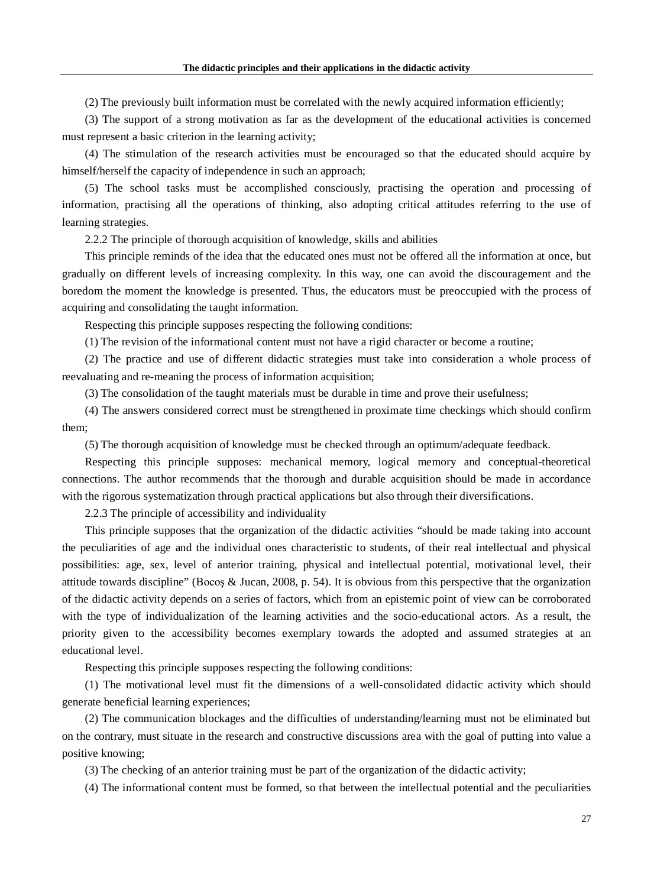(2) The previously built information must be correlated with the newly acquired information efficiently;

(3) The support of a strong motivation as far as the development of the educational activities is concerned must represent a basic criterion in the learning activity;

(4) The stimulation of the research activities must be encouraged so that the educated should acquire by himself/herself the capacity of independence in such an approach;

(5) The school tasks must be accomplished consciously, practising the operation and processing of information, practising all the operations of thinking, also adopting critical attitudes referring to the use of learning strategies.

2.2.2 The principle of thorough acquisition of knowledge, skills and abilities

This principle reminds of the idea that the educated ones must not be offered all the information at once, but gradually on different levels of increasing complexity. In this way, one can avoid the discouragement and the boredom the moment the knowledge is presented. Thus, the educators must be preoccupied with the process of acquiring and consolidating the taught information.

Respecting this principle supposes respecting the following conditions:

(1) The revision of the informational content must not have a rigid character or become a routine;

(2) The practice and use of different didactic strategies must take into consideration a whole process of reevaluating and re-meaning the process of information acquisition;

(3) The consolidation of the taught materials must be durable in time and prove their usefulness;

(4) The answers considered correct must be strengthened in proximate time checkings which should confirm them;

(5) The thorough acquisition of knowledge must be checked through an optimum/adequate feedback.

Respecting this principle supposes: mechanical memory, logical memory and conceptual-theoretical connections. The author recommends that the thorough and durable acquisition should be made in accordance with the rigorous systematization through practical applications but also through their diversifications.

2.2.3 The principle of accessibility and individuality

This principle supposes that the organization of the didactic activities "should be made taking into account the peculiarities of age and the individual ones characteristic to students, of their real intellectual and physical possibilities: age, sex, level of anterior training, physical and intellectual potential, motivational level, their attitude towards discipline" (Bocoş & Jucan, 2008, p. 54). It is obvious from this perspective that the organization of the didactic activity depends on a series of factors, which from an epistemic point of view can be corroborated with the type of individualization of the learning activities and the socio-educational actors. As a result, the priority given to the accessibility becomes exemplary towards the adopted and assumed strategies at an educational level.

Respecting this principle supposes respecting the following conditions:

(1) The motivational level must fit the dimensions of a well-consolidated didactic activity which should generate beneficial learning experiences;

(2) The communication blockages and the difficulties of understanding/learning must not be eliminated but on the contrary, must situate in the research and constructive discussions area with the goal of putting into value a positive knowing;

(3) The checking of an anterior training must be part of the organization of the didactic activity;

(4) The informational content must be formed, so that between the intellectual potential and the peculiarities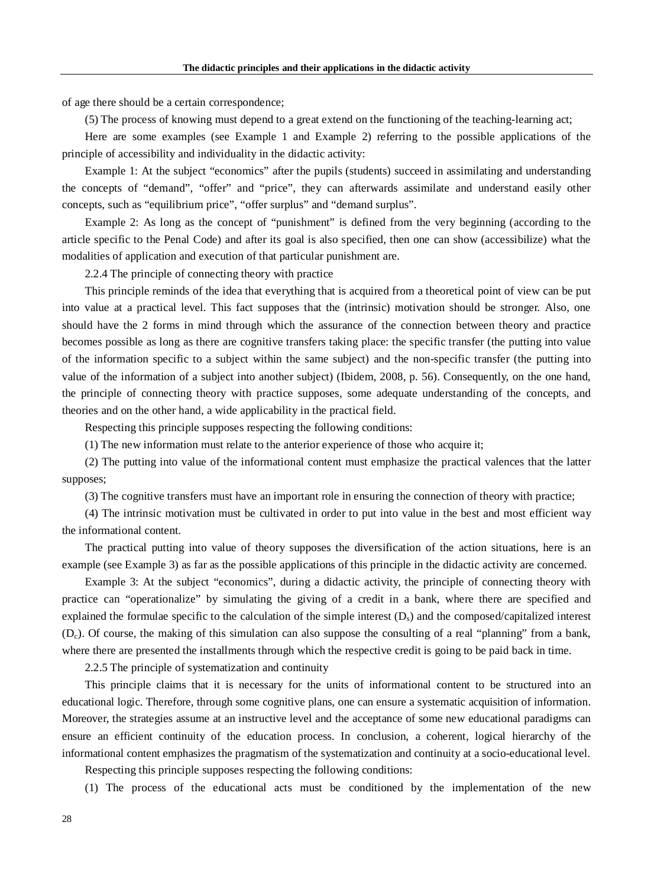of age there should be a certain correspondence;

(5) The process of knowing must depend to a great extend on the functioning of the teaching-learning act;

Here are some examples (see Example 1 and Example 2) referring to the possible applications of the principle of accessibility and individuality in the didactic activity:

Example 1: At the subject "economics" after the pupils (students) succeed in assimilating and understanding the concepts of "demand", "offer" and "price", they can afterwards assimilate and understand easily other concepts, such as "equilibrium price", "offer surplus" and "demand surplus".

Example 2: As long as the concept of "punishment" is defined from the very beginning (according to the article specific to the Penal Code) and after its goal is also specified, then one can show (accessibilize) what the modalities of application and execution of that particular punishment are.

2.2.4 The principle of connecting theory with practice

This principle reminds of the idea that everything that is acquired from a theoretical point of view can be put into value at a practical level. This fact supposes that the (intrinsic) motivation should be stronger. Also, one should have the 2 forms in mind through which the assurance of the connection between theory and practice becomes possible as long as there are cognitive transfers taking place: the specific transfer (the putting into value of the information specific to a subject within the same subject) and the non-specific transfer (the putting into value of the information of a subject into another subject) (Ibidem, 2008, p. 56). Consequently, on the one hand, the principle of connecting theory with practice supposes, some adequate understanding of the concepts, and theories and on the other hand, a wide applicability in the practical field.

Respecting this principle supposes respecting the following conditions:

(1) The new information must relate to the anterior experience of those who acquire it;

(2) The putting into value of the informational content must emphasize the practical valences that the latter supposes;

(3) The cognitive transfers must have an important role in ensuring the connection of theory with practice;

(4) The intrinsic motivation must be cultivated in order to put into value in the best and most efficient way the informational content.

The practical putting into value of theory supposes the diversification of the action situations, here is an example (see Example 3) as far as the possible applications of this principle in the didactic activity are concerned.

Example 3: At the subject "economics", during a didactic activity, the principle of connecting theory with practice can "operationalize" by simulating the giving of a credit in a bank, where there are specified and explained the formulae specific to the calculation of the simple interest  $(D<sub>s</sub>)$  and the composed/capitalized interest  $(D<sub>c</sub>)$ . Of course, the making of this simulation can also suppose the consulting of a real "planning" from a bank, where there are presented the installments through which the respective credit is going to be paid back in time.

2.2.5 The principle of systematization and continuity

This principle claims that it is necessary for the units of informational content to be structured into an educational logic. Therefore, through some cognitive plans, one can ensure a systematic acquisition of information. Moreover, the strategies assume at an instructive level and the acceptance of some new educational paradigms can ensure an efficient continuity of the education process. In conclusion, a coherent, logical hierarchy of the informational content emphasizes the pragmatism of the systematization and continuity at a socio-educational level.

Respecting this principle supposes respecting the following conditions:

(1) The process of the educational acts must be conditioned by the implementation of the new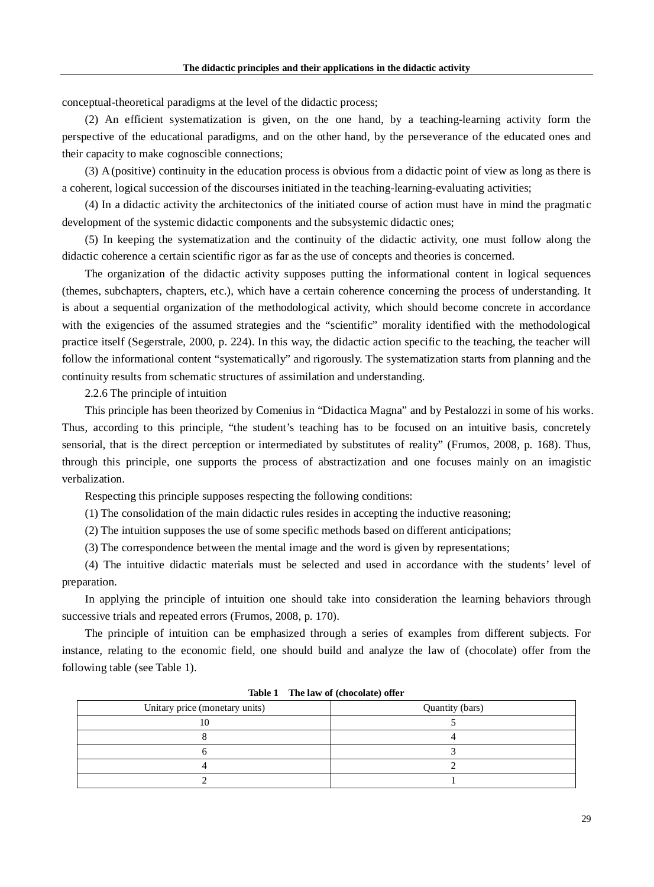conceptual-theoretical paradigms at the level of the didactic process;

(2) An efficient systematization is given, on the one hand, by a teaching-learning activity form the perspective of the educational paradigms, and on the other hand, by the perseverance of the educated ones and their capacity to make cognoscible connections;

(3) A (positive) continuity in the education process is obvious from a didactic point of view as long as there is a coherent, logical succession of the discourses initiated in the teaching-learning-evaluating activities;

(4) In a didactic activity the architectonics of the initiated course of action must have in mind the pragmatic development of the systemic didactic components and the subsystemic didactic ones;

(5) In keeping the systematization and the continuity of the didactic activity, one must follow along the didactic coherence a certain scientific rigor as far as the use of concepts and theories is concerned.

The organization of the didactic activity supposes putting the informational content in logical sequences (themes, subchapters, chapters, etc.), which have a certain coherence concerning the process of understanding. It is about a sequential organization of the methodological activity, which should become concrete in accordance with the exigencies of the assumed strategies and the "scientific" morality identified with the methodological practice itself (Segerstrale, 2000, p. 224). In this way, the didactic action specific to the teaching, the teacher will follow the informational content "systematically" and rigorously. The systematization starts from planning and the continuity results from schematic structures of assimilation and understanding.

2.2.6 The principle of intuition

This principle has been theorized by Comenius in "Didactica Magna" and by Pestalozzi in some of his works. Thus, according to this principle, "the student's teaching has to be focused on an intuitive basis, concretely sensorial, that is the direct perception or intermediated by substitutes of reality" (Frumos, 2008, p. 168). Thus, through this principle, one supports the process of abstractization and one focuses mainly on an imagistic verbalization.

Respecting this principle supposes respecting the following conditions:

(1) The consolidation of the main didactic rules resides in accepting the inductive reasoning;

(2) The intuition supposes the use of some specific methods based on different anticipations;

(3) The correspondence between the mental image and the word is given by representations;

(4) The intuitive didactic materials must be selected and used in accordance with the students' level of preparation.

In applying the principle of intuition one should take into consideration the learning behaviors through successive trials and repeated errors (Frumos, 2008, p. 170).

The principle of intuition can be emphasized through a series of examples from different subjects. For instance, relating to the economic field, one should build and analyze the law of (chocolate) offer from the following table (see Table 1).

| Unitary price (monetary units) | Quantity (bars) |
|--------------------------------|-----------------|
|                                |                 |
|                                |                 |
|                                |                 |
|                                |                 |
|                                |                 |

**Table 1 The law of (chocolate) offer**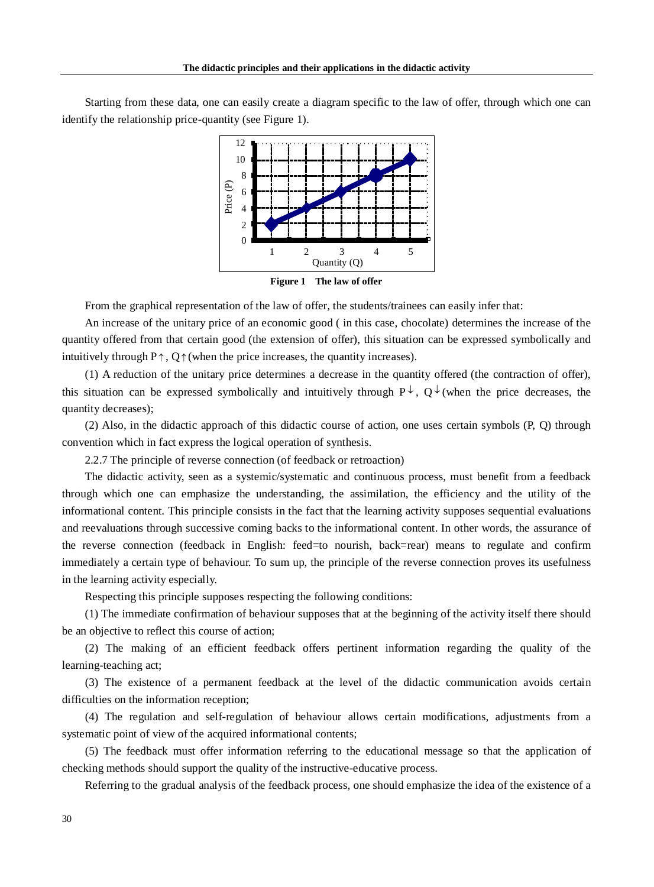Starting from these data, one can easily create a diagram specific to the law of offer, through which one can identify the relationship price-quantity (see Figure 1).



**Figure 1 The law of offer**

From the graphical representation of the law of offer, the students/trainees can easily infer that:

An increase of the unitary price of an economic good ( in this case, chocolate) determines the increase of the quantity offered from that certain good (the extension of offer), this situation can be expressed symbolically and intuitively through  $P \uparrow$ ,  $Q \uparrow$  (when the price increases, the quantity increases).

(1) A reduction of the unitary price determines a decrease in the quantity offered (the contraction of offer), this situation can be expressed symbolically and intuitively through  $P^{\downarrow}$ ,  $Q^{\downarrow}$  (when the price decreases, the quantity decreases);

(2) Also, in the didactic approach of this didactic course of action, one uses certain symbols (P, Q) through convention which in fact express the logical operation of synthesis.

2.2.7 The principle of reverse connection (of feedback or retroaction)

The didactic activity, seen as a systemic/systematic and continuous process, must benefit from a feedback through which one can emphasize the understanding, the assimilation, the efficiency and the utility of the informational content. This principle consists in the fact that the learning activity supposes sequential evaluations and reevaluations through successive coming backs to the informational content. In other words, the assurance of the reverse connection (feedback in English: feed=to nourish, back=rear) means to regulate and confirm immediately a certain type of behaviour. To sum up, the principle of the reverse connection proves its usefulness in the learning activity especially.

Respecting this principle supposes respecting the following conditions:

(1) The immediate confirmation of behaviour supposes that at the beginning of the activity itself there should be an objective to reflect this course of action;

(2) The making of an efficient feedback offers pertinent information regarding the quality of the learning-teaching act;

(3) The existence of a permanent feedback at the level of the didactic communication avoids certain difficulties on the information reception;

(4) The regulation and self-regulation of behaviour allows certain modifications, adjustments from a systematic point of view of the acquired informational contents;

(5) The feedback must offer information referring to the educational message so that the application of checking methods should support the quality of the instructive-educative process.

Referring to the gradual analysis of the feedback process, one should emphasize the idea of the existence of a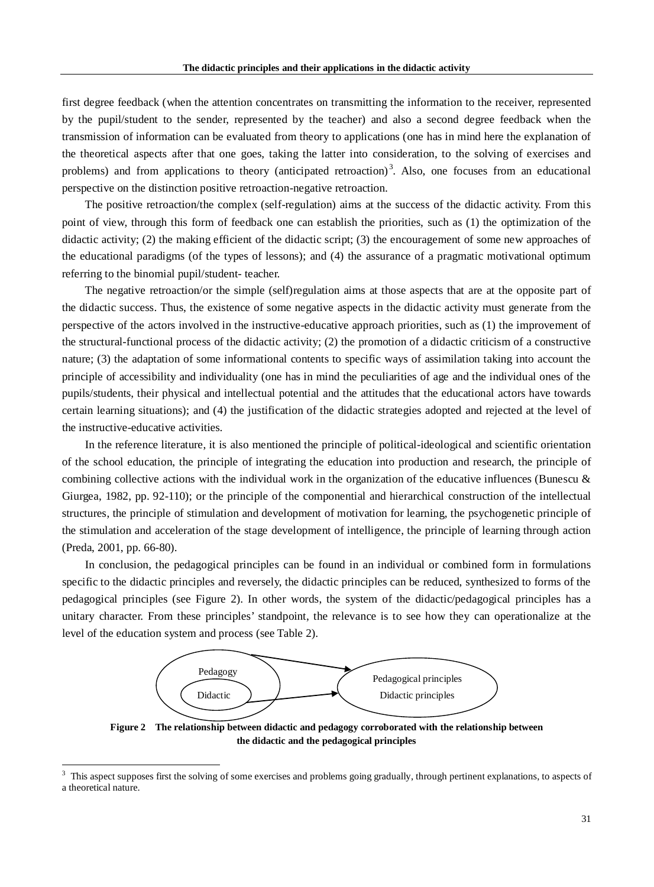first degree feedback (when the attention concentrates on transmitting the information to the receiver, represented by the pupil/student to the sender, represented by the teacher) and also a second degree feedback when the transmission of information can be evaluated from theory to applications (one has in mind here the explanation of the theoretical aspects after that one goes, taking the latter into consideration, to the solving of exercises and problems) and from applications to theory (anticipated retroaction)<sup>[3](#page-7-0)</sup>. Also, one focuses from an educational perspective on the distinction positive retroaction-negative retroaction.

The positive retroaction/the complex (self-regulation) aims at the success of the didactic activity. From this point of view, through this form of feedback one can establish the priorities, such as (1) the optimization of the didactic activity; (2) the making efficient of the didactic script; (3) the encouragement of some new approaches of the educational paradigms (of the types of lessons); and (4) the assurance of a pragmatic motivational optimum referring to the binomial pupil/student- teacher.

The negative retroaction/or the simple (self)regulation aims at those aspects that are at the opposite part of the didactic success. Thus, the existence of some negative aspects in the didactic activity must generate from the perspective of the actors involved in the instructive-educative approach priorities, such as (1) the improvement of the structural-functional process of the didactic activity; (2) the promotion of a didactic criticism of a constructive nature; (3) the adaptation of some informational contents to specific ways of assimilation taking into account the principle of accessibility and individuality (one has in mind the peculiarities of age and the individual ones of the pupils/students, their physical and intellectual potential and the attitudes that the educational actors have towards certain learning situations); and (4) the justification of the didactic strategies adopted and rejected at the level of the instructive-educative activities.

In the reference literature, it is also mentioned the principle of political-ideological and scientific orientation of the school education, the principle of integrating the education into production and research, the principle of combining collective actions with the individual work in the organization of the educative influences (Bunescu  $\&$ Giurgea, 1982, pp. 92-110); or the principle of the componential and hierarchical construction of the intellectual structures, the principle of stimulation and development of motivation for learning, the psychogenetic principle of the stimulation and acceleration of the stage development of intelligence, the principle of learning through action (Preda, 2001, pp. 66-80).

In conclusion, the pedagogical principles can be found in an individual or combined form in formulations specific to the didactic principles and reversely, the didactic principles can be reduced, synthesized to forms of the pedagogical principles (see Figure 2). In other words, the system of the didactic/pedagogical principles has a unitary character. From these principles' standpoint, the relevance is to see how they can operationalize at the level of the education system and process (see Table 2).



**Figure 2 The relationship between didactic and pedagogy corroborated with the relationship between the didactic and the pedagogical principles**

<span id="page-7-0"></span> <sup>3</sup> This aspect supposes first the solving of some exercises and problems going gradually, through pertinent explanations, to aspects of a theoretical nature.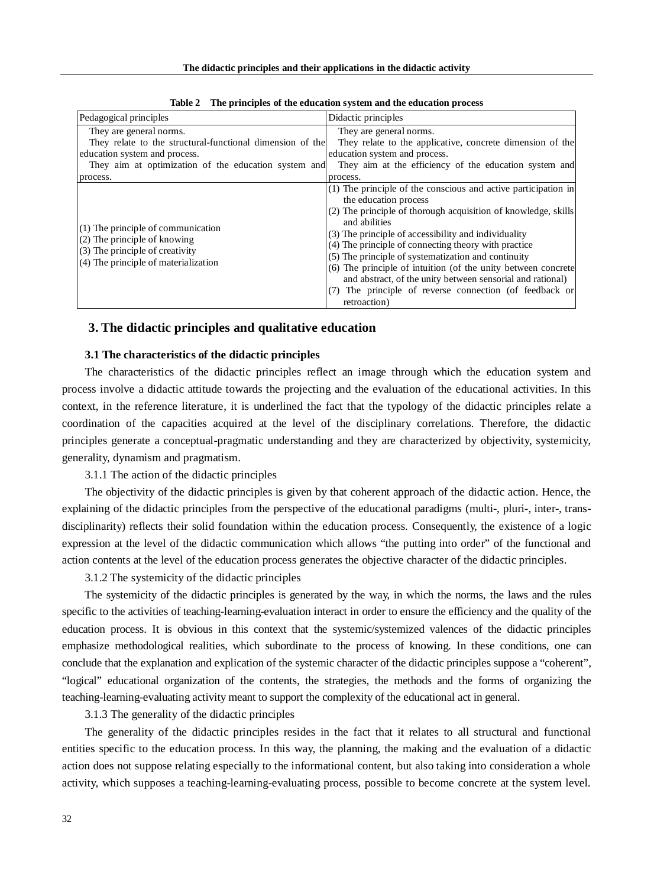| Pedagogical principles                                                                                                                                                                    | Didactic principles                                                                                                                                                                                                                                                                                                                                                                                                                                                                                                                                         |
|-------------------------------------------------------------------------------------------------------------------------------------------------------------------------------------------|-------------------------------------------------------------------------------------------------------------------------------------------------------------------------------------------------------------------------------------------------------------------------------------------------------------------------------------------------------------------------------------------------------------------------------------------------------------------------------------------------------------------------------------------------------------|
| They are general norms.<br>They relate to the structural-functional dimension of the<br>education system and process.<br>They aim at optimization of the education system and<br>process. | They are general norms.<br>They relate to the applicative, concrete dimension of the<br>education system and process.<br>They aim at the efficiency of the education system and<br>process.                                                                                                                                                                                                                                                                                                                                                                 |
| (1) The principle of communication<br>(2) The principle of knowing<br>(3) The principle of creativity<br>(4) The principle of materialization                                             | (1) The principle of the conscious and active participation in<br>the education process<br>(2) The principle of thorough acquisition of knowledge, skills<br>and abilities<br>(3) The principle of accessibility and individuality<br>(4) The principle of connecting theory with practice<br>(5) The principle of systematization and continuity<br>(6) The principle of intuition (of the unity between concrete<br>and abstract, of the unity between sensorial and rational)<br>(7) The principle of reverse connection (of feedback or<br>retroaction) |

**Table 2 The principles of the education system and the education process**

#### **3. The didactic principles and qualitative education**

### **3.1 The characteristics of the didactic principles**

The characteristics of the didactic principles reflect an image through which the education system and process involve a didactic attitude towards the projecting and the evaluation of the educational activities. In this context, in the reference literature, it is underlined the fact that the typology of the didactic principles relate a coordination of the capacities acquired at the level of the disciplinary correlations. Therefore, the didactic principles generate a conceptual-pragmatic understanding and they are characterized by objectivity, systemicity, generality, dynamism and pragmatism.

3.1.1 The action of the didactic principles

The objectivity of the didactic principles is given by that coherent approach of the didactic action. Hence, the explaining of the didactic principles from the perspective of the educational paradigms (multi-, pluri-, inter-, transdisciplinarity) reflects their solid foundation within the education process. Consequently, the existence of a logic expression at the level of the didactic communication which allows "the putting into order" of the functional and action contents at the level of the education process generates the objective character of the didactic principles.

3.1.2 The systemicity of the didactic principles

The systemicity of the didactic principles is generated by the way, in which the norms, the laws and the rules specific to the activities of teaching-learning-evaluation interact in order to ensure the efficiency and the quality of the education process. It is obvious in this context that the systemic/systemized valences of the didactic principles emphasize methodological realities, which subordinate to the process of knowing. In these conditions, one can conclude that the explanation and explication of the systemic character of the didactic principles suppose a "coherent", "logical" educational organization of the contents, the strategies, the methods and the forms of organizing the teaching-learning-evaluating activity meant to support the complexity of the educational act in general.

3.1.3 The generality of the didactic principles

The generality of the didactic principles resides in the fact that it relates to all structural and functional entities specific to the education process. In this way, the planning, the making and the evaluation of a didactic action does not suppose relating especially to the informational content, but also taking into consideration a whole activity, which supposes a teaching-learning-evaluating process, possible to become concrete at the system level.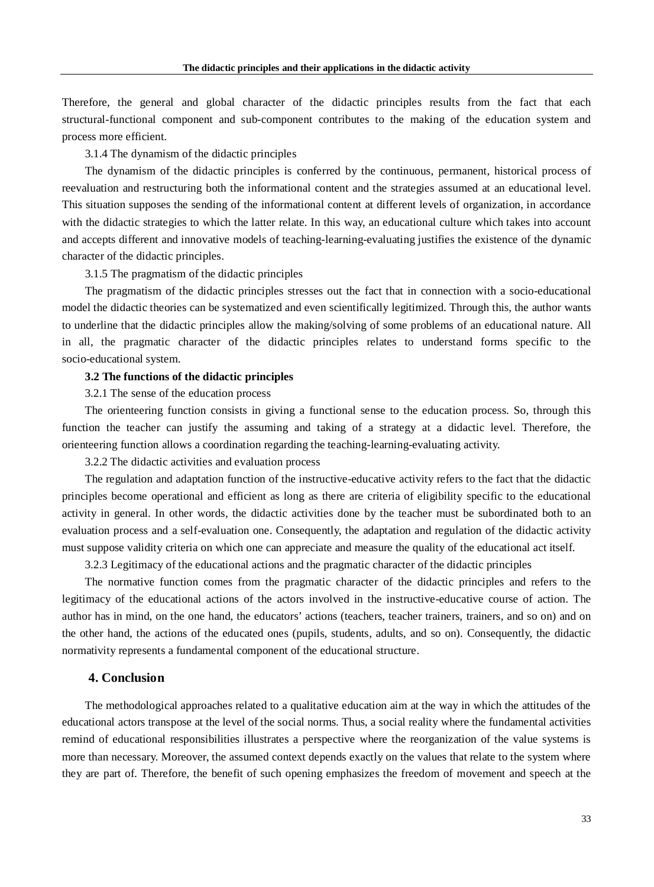Therefore, the general and global character of the didactic principles results from the fact that each structural-functional component and sub-component contributes to the making of the education system and process more efficient.

3.1.4 The dynamism of the didactic principles

The dynamism of the didactic principles is conferred by the continuous, permanent, historical process of reevaluation and restructuring both the informational content and the strategies assumed at an educational level. This situation supposes the sending of the informational content at different levels of organization, in accordance with the didactic strategies to which the latter relate. In this way, an educational culture which takes into account and accepts different and innovative models of teaching-learning-evaluating justifies the existence of the dynamic character of the didactic principles.

3.1.5 The pragmatism of the didactic principles

The pragmatism of the didactic principles stresses out the fact that in connection with a socio-educational model the didactic theories can be systematized and even scientifically legitimized. Through this, the author wants to underline that the didactic principles allow the making/solving of some problems of an educational nature. All in all, the pragmatic character of the didactic principles relates to understand forms specific to the socio-educational system.

#### **3.2 The functions of the didactic principles**

3.2.1 The sense of the education process

The orienteering function consists in giving a functional sense to the education process. So, through this function the teacher can justify the assuming and taking of a strategy at a didactic level. Therefore, the orienteering function allows a coordination regarding the teaching-learning-evaluating activity.

3.2.2 The didactic activities and evaluation process

The regulation and adaptation function of the instructive-educative activity refers to the fact that the didactic principles become operational and efficient as long as there are criteria of eligibility specific to the educational activity in general. In other words, the didactic activities done by the teacher must be subordinated both to an evaluation process and a self-evaluation one. Consequently, the adaptation and regulation of the didactic activity must suppose validity criteria on which one can appreciate and measure the quality of the educational act itself.

3.2.3 Legitimacy of the educational actions and the pragmatic character of the didactic principles

The normative function comes from the pragmatic character of the didactic principles and refers to the legitimacy of the educational actions of the actors involved in the instructive-educative course of action. The author has in mind, on the one hand, the educators' actions (teachers, teacher trainers, trainers, and so on) and on the other hand, the actions of the educated ones (pupils, students, adults, and so on). Consequently, the didactic normativity represents a fundamental component of the educational structure.

## **4. Conclusion**

The methodological approaches related to a qualitative education aim at the way in which the attitudes of the educational actors transpose at the level of the social norms. Thus, a social reality where the fundamental activities remind of educational responsibilities illustrates a perspective where the reorganization of the value systems is more than necessary. Moreover, the assumed context depends exactly on the values that relate to the system where they are part of. Therefore, the benefit of such opening emphasizes the freedom of movement and speech at the